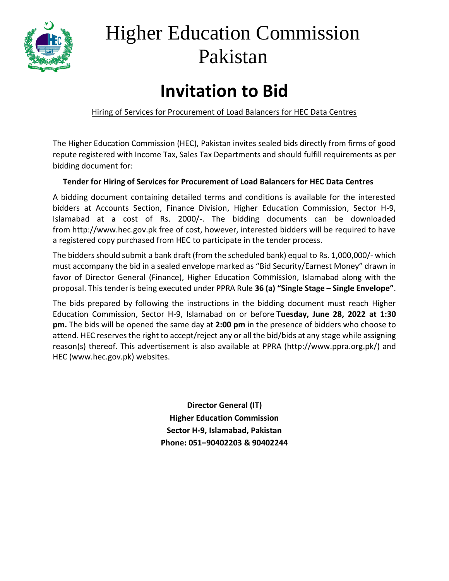

# Higher Education Commission Pakistan

# **Invitation to Bid**

Hiring of Services for Procurement of Load Balancers for HEC Data Centres

The Higher Education Commission (HEC), Pakistan invites sealed bids directly from firms of good repute registered with Income Tax, Sales Tax Departments and should fulfill requirements as per bidding document for:

#### **Tender for Hiring of Services for Procurement of Load Balancers for HEC Data Centres**

A bidding document containing detailed terms and conditions is available for the interested bidders at Accounts Section, Finance Division, Higher Education Commission, Sector H-9, Islamabad at a cost of Rs. 2000/-. The bidding documents can be downloaded from [http://www.hec.gov.pk](http://www.hec.gov.pk/) free of cost, however, interested bidders will be required to have a registered copy purchased from HEC to participate in the tender process.

The bidders should submit a bank draft (from the scheduled bank) equal to Rs. 1,000,000/- which must accompany the bid in a sealed envelope marked as "Bid Security/Earnest Money" drawn in favor of Director General (Finance), Higher Education Commission, Islamabad along with the proposal. This tender is being executed under PPRA Rule **36 (a) "Single Stage – Single Envelope"**.

The bids prepared by following the instructions in the bidding document must reach Higher Education Commission, Sector H-9, Islamabad on or before **Tuesday, June 28, 2022 at 1:30 pm.** The bids will be opened the same day at **2:00 pm** in the presence of bidders who choose to attend. HEC reserves the right to accept/reject any or all the bid/bids at any stage while assigning reason(s) thereof. This advertisement is also available at PPRA [\(http://www.ppra.org.pk/\)](http://www.ppra.org.pk/) and HEC (www.hec.gov.pk) websites.

> **Director General (IT) Higher Education Commission Sector H-9, Islamabad, Pakistan Phone: 051–90402203 & 90402244**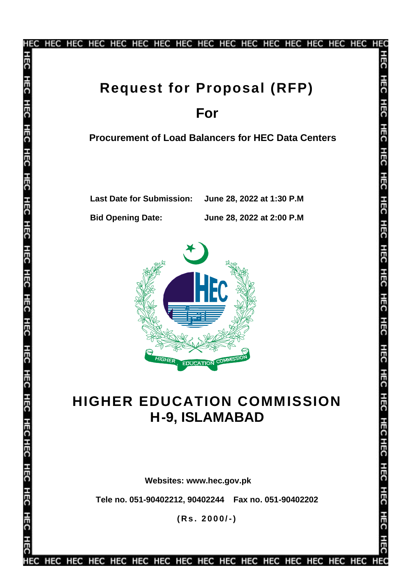

**HFC HFC** нес **HFC HEC** HEC HEC HEC HEC HEC HEC HEO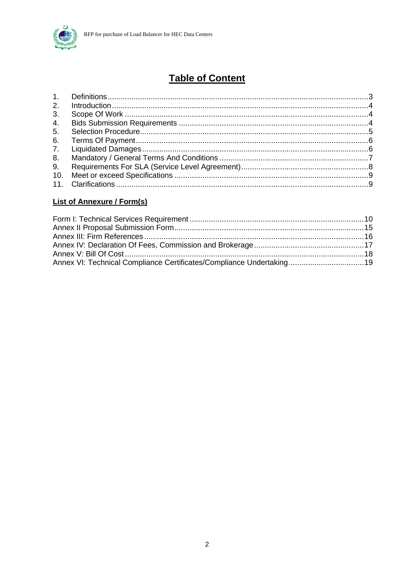

# **Table of Content**

#### **List of Annexure / Form(s)**

| Annex VI: Technical Compliance Certificates/Compliance Undertaking 19 |  |
|-----------------------------------------------------------------------|--|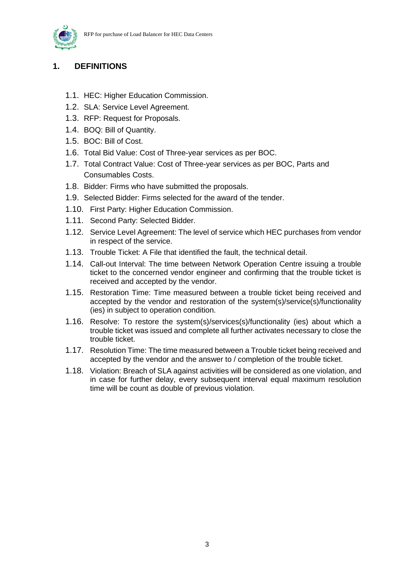

#### <span id="page-3-0"></span>**1. DEFINITIONS**

- 1.1. HEC: Higher Education Commission.
- 1.2. SLA: Service Level Agreement.
- 1.3. RFP: Request for Proposals.
- 1.4. BOQ: Bill of Quantity.
- 1.5. BOC: Bill of Cost.
- 1.6. Total Bid Value: Cost of Three-year services as per BOC.
- 1.7. Total Contract Value: Cost of Three-year services as per BOC, Parts and Consumables Costs.
- 1.8. Bidder: Firms who have submitted the proposals.
- 1.9. Selected Bidder: Firms selected for the award of the tender.
- 1.10. First Party: Higher Education Commission.
- 1.11. Second Party: Selected Bidder.
- 1.12. Service Level Agreement: The level of service which HEC purchases from vendor in respect of the service.
- 1.13. Trouble Ticket: A File that identified the fault, the technical detail.
- 1.14. Call-out Interval: The time between Network Operation Centre issuing a trouble ticket to the concerned vendor engineer and confirming that the trouble ticket is received and accepted by the vendor.
- 1.15. Restoration Time: Time measured between a trouble ticket being received and accepted by the vendor and restoration of the system(s)/service(s)/functionality (ies) in subject to operation condition.
- 1.16. Resolve: To restore the system(s)/services(s)/functionality (ies) about which a trouble ticket was issued and complete all further activates necessary to close the trouble ticket.
- 1.17. Resolution Time: The time measured between a Trouble ticket being received and accepted by the vendor and the answer to / completion of the trouble ticket.
- 1.18. Violation: Breach of SLA against activities will be considered as one violation, and in case for further delay, every subsequent interval equal maximum resolution time will be count as double of previous violation.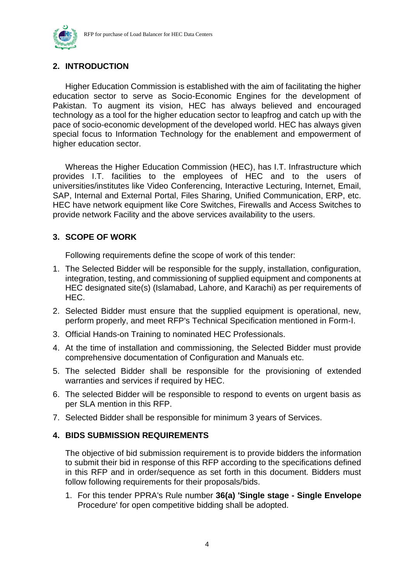



#### <span id="page-4-0"></span>**2. INTRODUCTION**

Higher Education Commission is established with the aim of facilitating the higher education sector to serve as Socio-Economic Engines for the development of Pakistan. To augment its vision, HEC has always believed and encouraged technology as a tool for the higher education sector to leapfrog and catch up with the pace of socio-economic development of the developed world. HEC has always given special focus to Information Technology for the enablement and empowerment of higher education sector.

Whereas the Higher Education Commission (HEC), has I.T. Infrastructure which provides I.T. facilities to the employees of HEC and to the users of universities/institutes like Video Conferencing, Interactive Lecturing, Internet, Email, SAP, Internal and External Portal, Files Sharing, Unified Communication, ERP, etc. HEC have network equipment like Core Switches, Firewalls and Access Switches to provide network Facility and the above services availability to the users.

#### <span id="page-4-1"></span>**3. SCOPE OF WORK**

Following requirements define the scope of work of this tender:

- 1. The Selected Bidder will be responsible for the supply, installation, configuration, integration, testing, and commissioning of supplied equipment and components at HEC designated site(s) (Islamabad, Lahore, and Karachi) as per requirements of HEC.
- 2. Selected Bidder must ensure that the supplied equipment is operational, new, perform properly, and meet RFP's Technical Specification mentioned in Form-I.
- 3. Official Hands-on Training to nominated HEC Professionals.
- 4. At the time of installation and commissioning, the Selected Bidder must provide comprehensive documentation of Configuration and Manuals etc.
- 5. The selected Bidder shall be responsible for the provisioning of extended warranties and services if required by HEC.
- 6. The selected Bidder will be responsible to respond to events on urgent basis as per SLA mention in this RFP.
- 7. Selected Bidder shall be responsible for minimum 3 years of Services.

#### <span id="page-4-2"></span>**4. BIDS SUBMISSION REQUIREMENTS**

The objective of bid submission requirement is to provide bidders the information to submit their bid in response of this RFP according to the specifications defined in this RFP and in order/sequence as set forth in this document. Bidders must follow following requirements for their proposals/bids.

1. For this tender PPRA's Rule number **36(a) 'Single stage - Single Envelope** Procedure' for open competitive bidding shall be adopted.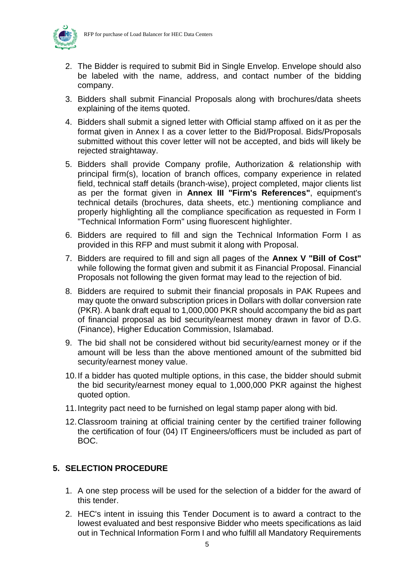

- 2. The Bidder is required to submit Bid in Single Envelop. Envelope should also be labeled with the name, address, and contact number of the bidding company.
- 3. Bidders shall submit Financial Proposals along with brochures/data sheets explaining of the items quoted.
- 4. Bidders shall submit a signed letter with Official stamp affixed on it as per the format given in Annex I as a cover letter to the Bid/Proposal. Bids/Proposals submitted without this cover letter will not be accepted, and bids will likely be rejected straightaway.
- 5. Bidders shall provide Company profile, Authorization & relationship with principal firm(s), location of branch offices, company experience in related field, technical staff details (branch-wise), project completed, major clients list as per the format given in **Annex III "Firm's References"**, equipment's technical details (brochures, data sheets, etc.) mentioning compliance and properly highlighting all the compliance specification as requested in Form I "Technical Information Form" using fluorescent highlighter.
- 6. Bidders are required to fill and sign the Technical Information Form I as provided in this RFP and must submit it along with Proposal.
- 7. Bidders are required to fill and sign all pages of the **Annex V "Bill of Cost"** while following the format given and submit it as Financial Proposal. Financial Proposals not following the given format may lead to the rejection of bid.
- 8. Bidders are required to submit their financial proposals in PAK Rupees and may quote the onward subscription prices in Dollars with dollar conversion rate (PKR). A bank draft equal to 1,000,000 PKR should accompany the bid as part of financial proposal as bid security/earnest money drawn in favor of D.G. (Finance), Higher Education Commission, Islamabad.
- 9. The bid shall not be considered without bid security/earnest money or if the amount will be less than the above mentioned amount of the submitted bid security/earnest money value.
- 10.If a bidder has quoted multiple options, in this case, the bidder should submit the bid security/earnest money equal to 1,000,000 PKR against the highest quoted option.
- 11.Integrity pact need to be furnished on legal stamp paper along with bid.
- 12.Classroom training at official training center by the certified trainer following the certification of four (04) IT Engineers/officers must be included as part of BOC.

#### <span id="page-5-0"></span>**5. SELECTION PROCEDURE**

- 1. A one step process will be used for the selection of a bidder for the award of this tender.
- 2. HEC's intent in issuing this Tender Document is to award a contract to the lowest evaluated and best responsive Bidder who meets specifications as laid out in Technical Information Form I and who fulfill all Mandatory Requirements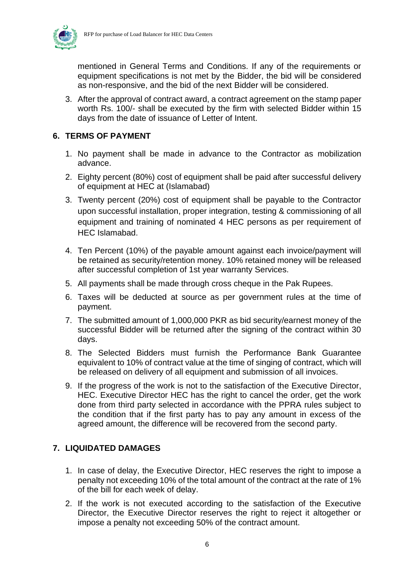

mentioned in General Terms and Conditions. If any of the requirements or equipment specifications is not met by the Bidder, the bid will be considered as non-responsive, and the bid of the next Bidder will be considered.

3. After the approval of contract award, a contract agreement on the stamp paper worth Rs. 100/- shall be executed by the firm with selected Bidder within 15 days from the date of issuance of Letter of Intent.

#### <span id="page-6-0"></span>**6. TERMS OF PAYMENT**

- 1. No payment shall be made in advance to the Contractor as mobilization advance.
- 2. Eighty percent (80%) cost of equipment shall be paid after successful delivery of equipment at HEC at (Islamabad)
- 3. Twenty percent (20%) cost of equipment shall be payable to the Contractor upon successful installation, proper integration, testing & commissioning of all equipment and training of nominated 4 HEC persons as per requirement of HEC Islamabad.
- 4. Ten Percent (10%) of the payable amount against each invoice/payment will be retained as security/retention money. 10% retained money will be released after successful completion of 1st year warranty Services.
- 5. All payments shall be made through cross cheque in the Pak Rupees.
- 6. Taxes will be deducted at source as per government rules at the time of payment.
- 7. The submitted amount of 1,000,000 PKR as bid security/earnest money of the successful Bidder will be returned after the signing of the contract within 30 days.
- 8. The Selected Bidders must furnish the Performance Bank Guarantee equivalent to 10% of contract value at the time of singing of contract, which will be released on delivery of all equipment and submission of all invoices.
- 9. If the progress of the work is not to the satisfaction of the Executive Director, HEC. Executive Director HEC has the right to cancel the order, get the work done from third party selected in accordance with the PPRA rules subject to the condition that if the first party has to pay any amount in excess of the agreed amount, the difference will be recovered from the second party.

#### <span id="page-6-1"></span>**7. LIQUIDATED DAMAGES**

- 1. In case of delay, the Executive Director, HEC reserves the right to impose a penalty not exceeding 10% of the total amount of the contract at the rate of 1% of the bill for each week of delay.
- 2. If the work is not executed according to the satisfaction of the Executive Director, the Executive Director reserves the right to reject it altogether or impose a penalty not exceeding 50% of the contract amount.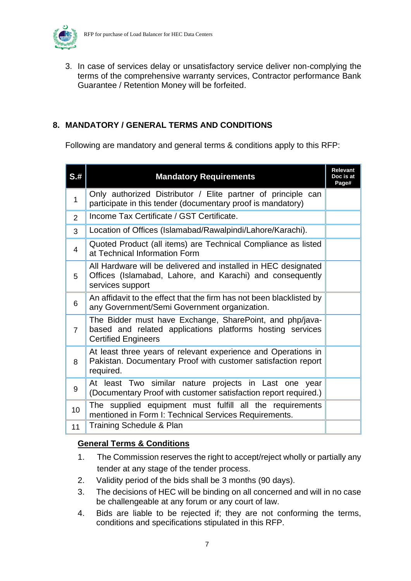

3. In case of services delay or unsatisfactory service deliver non-complying the terms of the comprehensive warranty services, Contractor performance Bank Guarantee / Retention Money will be forfeited.

#### <span id="page-7-0"></span>**8. MANDATORY / GENERAL TERMS AND CONDITIONS**

Following are mandatory and general terms & conditions apply to this RFP:

| S.H            | <b>Mandatory Requirements</b>                                                                                                                       |  |  |  |  |
|----------------|-----------------------------------------------------------------------------------------------------------------------------------------------------|--|--|--|--|
| $\mathbf{1}$   | Only authorized Distributor / Elite partner of principle can<br>participate in this tender (documentary proof is mandatory)                         |  |  |  |  |
| 2              | Income Tax Certificate / GST Certificate.                                                                                                           |  |  |  |  |
| 3              | Location of Offices (Islamabad/Rawalpindi/Lahore/Karachi).                                                                                          |  |  |  |  |
| 4              | Quoted Product (all items) are Technical Compliance as listed<br>at Technical Information Form                                                      |  |  |  |  |
| 5              | All Hardware will be delivered and installed in HEC designated<br>Offices (Islamabad, Lahore, and Karachi) and consequently<br>services support     |  |  |  |  |
| 6              | An affidavit to the effect that the firm has not been blacklisted by<br>any Government/Semi Government organization.                                |  |  |  |  |
| $\overline{7}$ | The Bidder must have Exchange, SharePoint, and php/java-<br>based and related applications platforms hosting services<br><b>Certified Engineers</b> |  |  |  |  |
| 8              | At least three years of relevant experience and Operations in<br>Pakistan. Documentary Proof with customer satisfaction report<br>required.         |  |  |  |  |
| 9              | At least Two similar nature projects in Last one year<br>(Documentary Proof with customer satisfaction report required.)                            |  |  |  |  |
| 10             | The supplied equipment must fulfill all the requirements<br>mentioned in Form I: Technical Services Requirements.                                   |  |  |  |  |
| 11             | Training Schedule & Plan                                                                                                                            |  |  |  |  |

#### **General Terms & Conditions**

- 1. The Commission reserves the right to accept/reject wholly or partially any tender at any stage of the tender process.
- 2. Validity period of the bids shall be 3 months (90 days).
- 3. The decisions of HEC will be binding on all concerned and will in no case be challengeable at any forum or any court of law.
- 4. Bids are liable to be rejected if; they are not conforming the terms, conditions and specifications stipulated in this RFP.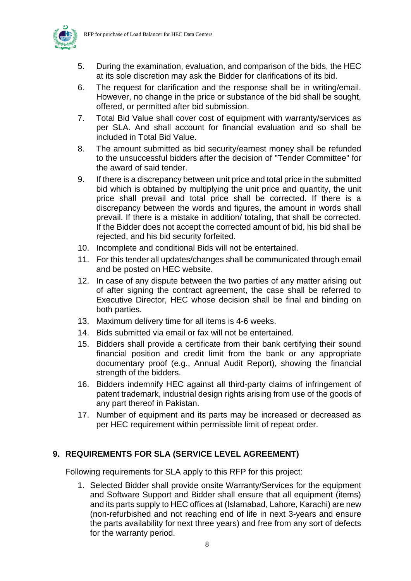

- 5. During the examination, evaluation, and comparison of the bids, the HEC at its sole discretion may ask the Bidder for clarifications of its bid.
- 6. The request for clarification and the response shall be in writing/email. However, no change in the price or substance of the bid shall be sought, offered, or permitted after bid submission.
- 7. Total Bid Value shall cover cost of equipment with warranty/services as per SLA. And shall account for financial evaluation and so shall be included in Total Bid Value.
- 8. The amount submitted as bid security/earnest money shall be refunded to the unsuccessful bidders after the decision of "Tender Committee" for the award of said tender.
- 9. If there is a discrepancy between unit price and total price in the submitted bid which is obtained by multiplying the unit price and quantity, the unit price shall prevail and total price shall be corrected. If there is a discrepancy between the words and figures, the amount in words shall prevail. If there is a mistake in addition/ totaling, that shall be corrected. If the Bidder does not accept the corrected amount of bid, his bid shall be rejected, and his bid security forfeited.
- 10. Incomplete and conditional Bids will not be entertained.
- 11. For this tender all updates/changes shall be communicated through email and be posted on HEC website.
- 12. In case of any dispute between the two parties of any matter arising out of after signing the contract agreement, the case shall be referred to Executive Director, HEC whose decision shall be final and binding on both parties.
- 13. Maximum delivery time for all items is 4-6 weeks.
- 14. Bids submitted via email or fax will not be entertained.
- 15. Bidders shall provide a certificate from their bank certifying their sound financial position and credit limit from the bank or any appropriate documentary proof (e.g., Annual Audit Report), showing the financial strength of the bidders.
- 16. Bidders indemnify HEC against all third-party claims of infringement of patent trademark, industrial design rights arising from use of the goods of any part thereof in Pakistan.
- 17. Number of equipment and its parts may be increased or decreased as per HEC requirement within permissible limit of repeat order.

#### **9. REQUIREMENTS FOR SLA (SERVICE LEVEL AGREEMENT)**

Following requirements for SLA apply to this RFP for this project:

1. Selected Bidder shall provide onsite Warranty/Services for the equipment and Software Support and Bidder shall ensure that all equipment (items) and its parts supply to HEC offices at (Islamabad, Lahore, Karachi) are new (non-refurbished and not reaching end of life in next 3-years and ensure the parts availability for next three years) and free from any sort of defects for the warranty period.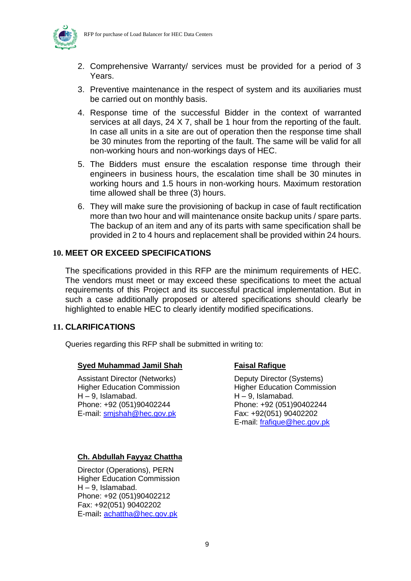

- 2. Comprehensive Warranty/ services must be provided for a period of 3 Years.
- 3. Preventive maintenance in the respect of system and its auxiliaries must be carried out on monthly basis.
- 4. Response time of the successful Bidder in the context of warranted services at all days, 24 X 7, shall be 1 hour from the reporting of the fault. In case all units in a site are out of operation then the response time shall be 30 minutes from the reporting of the fault. The same will be valid for all non-working hours and non-workings days of HEC.
- 5. The Bidders must ensure the escalation response time through their engineers in business hours, the escalation time shall be 30 minutes in working hours and 1.5 hours in non-working hours. Maximum restoration time allowed shall be three (3) hours.
- 6. They will make sure the provisioning of backup in case of fault rectification more than two hour and will maintenance onsite backup units / spare parts. The backup of an item and any of its parts with same specification shall be provided in 2 to 4 hours and replacement shall be provided within 24 hours.

#### **10. MEET OR EXCEED SPECIFICATIONS**

The specifications provided in this RFP are the minimum requirements of HEC. The vendors must meet or may exceed these specifications to meet the actual requirements of this Project and its successful practical implementation. But in such a case additionally proposed or altered specifications should clearly be highlighted to enable HEC to clearly identify modified specifications.

#### <span id="page-9-0"></span>**11. CLARIFICATIONS**

Queries regarding this RFP shall be submitted in writing to:

#### **Syed Muhammad Jamil Shah**

Assistant Director (Networks) Higher Education Commission  $H - 9$ , Islamabad. Phone: +92 (051)90402244 E-mail: [smjshah@hec.gov.pk](mailto:smjshah@hec.gov.pk)

#### **Faisal Rafique**

Deputy Director (Systems) Higher Education Commission H – 9, Islamabad. Phone: +92 (051)90402244 Fax: +92(051) 90402202 E-mail: [frafique@hec.gov.pk](mailto:frafique@hec.gov.pk)

#### **Ch. Abdullah Fayyaz Chattha**

Director (Operations), PERN Higher Education Commission  $H - 9$ . Islamabad. Phone: +92 (051)90402212 Fax: +92(051) 90402202 E-mail**:** [achattha@hec.gov.pk](mailto:achattha@hec.gov.pk)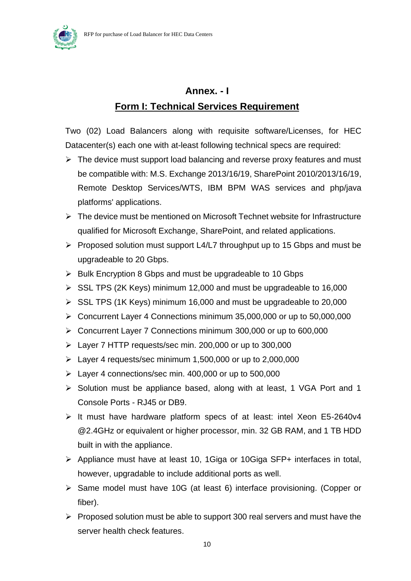<span id="page-10-0"></span>

# **Annex. - I Form I: Technical Services Requirement**

Two (02) Load Balancers along with requisite software/Licenses, for HEC Datacenter(s) each one with at-least following technical specs are required:

- $\triangleright$  The device must support load balancing and reverse proxy features and must be compatible with: M.S. Exchange 2013/16/19, SharePoint 2010/2013/16/19, Remote Desktop Services/WTS, IBM BPM WAS services and php/java platforms' applications.
- ➢ The device must be mentioned on Microsoft Technet website for Infrastructure qualified for Microsoft Exchange, SharePoint, and related applications.
- ➢ Proposed solution must support L4/L7 throughput up to 15 Gbps and must be upgradeable to 20 Gbps.
- ➢ Bulk Encryption 8 Gbps and must be upgradeable to 10 Gbps
- $\triangleright$  SSL TPS (2K Keys) minimum 12,000 and must be upgradeable to 16,000
- $\triangleright$  SSL TPS (1K Keys) minimum 16,000 and must be upgradeable to 20,000
- ➢ Concurrent Layer 4 Connections minimum 35,000,000 or up to 50,000,000
- ➢ Concurrent Layer 7 Connections minimum 300,000 or up to 600,000
- ➢ Layer 7 HTTP requests/sec min. 200,000 or up to 300,000
- $\geq$  Layer 4 requests/sec minimum 1,500,000 or up to 2,000,000
- ➢ Layer 4 connections/sec min. 400,000 or up to 500,000
- ➢ Solution must be appliance based, along with at least, 1 VGA Port and 1 Console Ports - RJ45 or DB9.
- ➢ It must have hardware platform specs of at least: intel Xeon E5-2640v4 @2.4GHz or equivalent or higher processor, min. 32 GB RAM, and 1 TB HDD built in with the appliance.
- ➢ Appliance must have at least 10, 1Giga or 10Giga SFP+ interfaces in total, however, upgradable to include additional ports as well.
- ➢ Same model must have 10G (at least 6) interface provisioning. (Copper or fiber).
- ➢ Proposed solution must be able to support 300 real servers and must have the server health check features.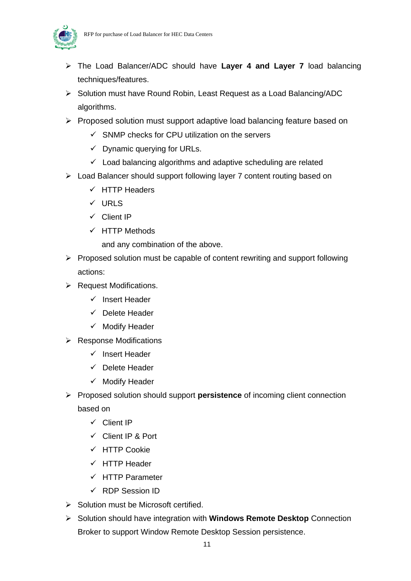



- ➢ The Load Balancer/ADC should have **Layer 4 and Layer 7** load balancing techniques/features.
- ➢ Solution must have Round Robin, Least Request as a Load Balancing/ADC algorithms.
- ➢ Proposed solution must support adaptive load balancing feature based on
	- $\checkmark$  SNMP checks for CPU utilization on the servers
	- $\checkmark$  Dynamic querying for URLs.
	- ✓ Load balancing algorithms and adaptive scheduling are related
- ➢ Load Balancer should support following layer 7 content routing based on
	- $\checkmark$  HTTP Headers
	- ✓ URLS
	- ✓ Client IP
	- ✓ HTTP Methods

and any combination of the above.

- ➢ Proposed solution must be capable of content rewriting and support following actions:
- ➢ Request Modifications.
	- ✓ Insert Header
	- ✓ Delete Header
	- ✓ Modify Header
- ➢ Response Modifications
	- ✓ Insert Header
	- ✓ Delete Header
	- ✓ Modify Header
- ➢ Proposed solution should support **persistence** of incoming client connection

based on

- ✓ Client IP
- ✓ Client IP & Port
- ✓ HTTP Cookie
- ✓ HTTP Header
- ✓ HTTP Parameter
- ✓ RDP Session ID
- ➢ Solution must be Microsoft certified.
- ➢ Solution should have integration with **Windows Remote Desktop** Connection Broker to support Window Remote Desktop Session persistence.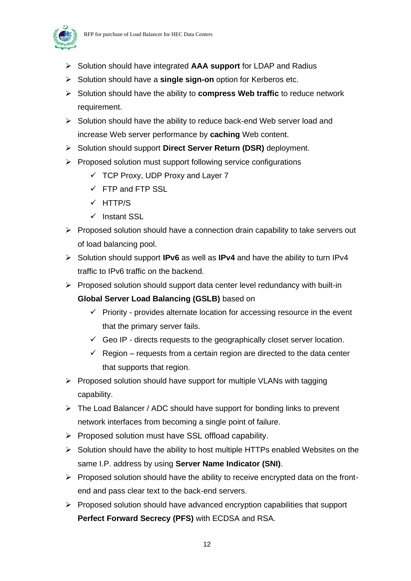

- ➢ Solution should have integrated **AAA support** for LDAP and Radius
- ➢ Solution should have a **single sign-on** option for Kerberos etc.
- ➢ Solution should have the ability to **compress Web traffic** to reduce network requirement.
- ➢ Solution should have the ability to reduce back-end Web server load and increase Web server performance by **caching** Web content.
- ➢ Solution should support **Direct Server Return (DSR)** deployment.
- ➢ Proposed solution must support following service configurations
	- $\checkmark$  TCP Proxy, UDP Proxy and Layer 7
	- $\checkmark$  FTP and FTP SSL
	- ✓ HTTP/S
	- ✓ Instant SSL
- ➢ Proposed solution should have a connection drain capability to take servers out of load balancing pool.
- ➢ Solution should support **IPv6** as well as **IPv4** and have the ability to turn IPv4 traffic to IPv6 traffic on the backend.
- ➢ Proposed solution should support data center level redundancy with built-in
	- **Global Server Load Balancing (GSLB)** based on
		- $\checkmark$  Priority provides alternate location for accessing resource in the event that the primary server fails.
		- $\checkmark$  Geo IP directs requests to the geographically closet server location.
		- $\checkmark$  Region requests from a certain region are directed to the data center that supports that region.
- $\triangleright$  Proposed solution should have support for multiple VLANs with tagging capability.
- ➢ The Load Balancer / ADC should have support for bonding links to prevent network interfaces from becoming a single point of failure.
- ➢ Proposed solution must have SSL offload capability.
- ➢ Solution should have the ability to host multiple HTTPs enabled Websites on the same I.P. address by using **Server Name Indicator (SNI)**.
- $\triangleright$  Proposed solution should have the ability to receive encrypted data on the frontend and pass clear text to the back-end servers.
- ➢ Proposed solution should have advanced encryption capabilities that support **Perfect Forward Secrecy (PFS)** with ECDSA and RSA.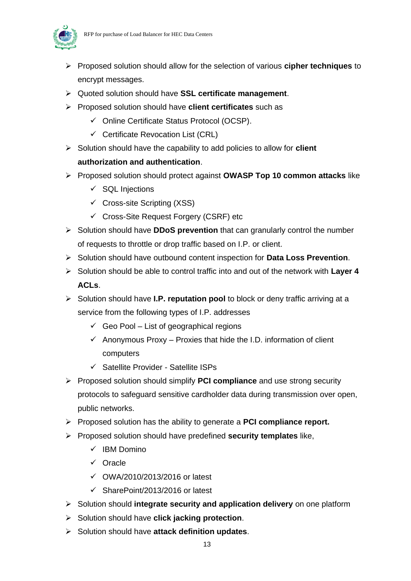

- ➢ Proposed solution should allow for the selection of various **cipher techniques** to encrypt messages.
- ➢ Quoted solution should have **SSL certificate management**.
- ➢ Proposed solution should have **client certificates** such as
	- ✓ Online Certificate Status Protocol (OCSP).
	- ✓ Certificate Revocation List (CRL)
- ➢ Solution should have the capability to add policies to allow for **client authorization and authentication**.
- ➢ Proposed solution should protect against **OWASP Top 10 common attacks** like
	- $\checkmark$  SQL Injections
	- $\checkmark$  Cross-site Scripting (XSS)
	- ✓ Cross-Site Request Forgery (CSRF) etc
- ➢ Solution should have **DDoS prevention** that can granularly control the number of requests to throttle or drop traffic based on I.P. or client.
- ➢ Solution should have outbound content inspection for **Data Loss Prevention**.
- ➢ Solution should be able to control traffic into and out of the network with **Layer 4 ACLs**.
- ➢ Solution should have **I.P. reputation pool** to block or deny traffic arriving at a service from the following types of I.P. addresses
	- $\checkmark$  Geo Pool List of geographical regions
	- $\checkmark$  Anonymous Proxy Proxies that hide the I.D. information of client computers
	- ✓ Satellite Provider Satellite ISPs
- ➢ Proposed solution should simplify **PCI compliance** and use strong security protocols to safeguard sensitive cardholder data during transmission over open, public networks.
- ➢ Proposed solution has the ability to generate a **PCI compliance report.**
- ➢ Proposed solution should have predefined **security templates** like,
	- ✓ IBM Domino
	- ✓ Oracle
	- ✓ OWA/2010/2013/2016 or latest
	- ✓ SharePoint/2013/2016 or latest
- ➢ Solution should **integrate security and application delivery** on one platform
- ➢ Solution should have **click jacking protection**.
- ➢ Solution should have **attack definition updates**.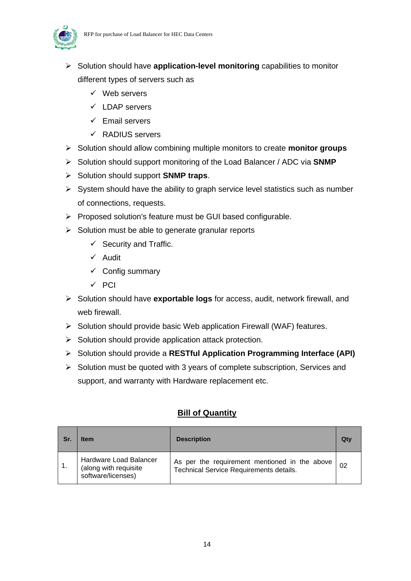

- ➢ Solution should have **application-level monitoring** capabilities to monitor different types of servers such as
	- ✓ Web servers
	- ✓ LDAP servers
	- ✓ Email servers
	- ✓ RADIUS servers
- ➢ Solution should allow combining multiple monitors to create **monitor groups**
- ➢ Solution should support monitoring of the Load Balancer / ADC via **SNMP**
- ➢ Solution should support **SNMP traps**.
- $\triangleright$  System should have the ability to graph service level statistics such as number of connections, requests.
- ➢ Proposed solution's feature must be GUI based configurable.
- $\triangleright$  Solution must be able to generate granular reports
	- $\checkmark$  Security and Traffic.
	- ✓ Audit
	- ✓ Config summary
	- ✓ PCI
- ➢ Solution should have **exportable logs** for access, audit, network firewall, and web firewall.
- ➢ Solution should provide basic Web application Firewall (WAF) features.
- $\triangleright$  Solution should provide application attack protection.
- ➢ Solution should provide a **RESTful Application Programming Interface (API)**
- ➢ Solution must be quoted with 3 years of complete subscription, Services and support, and warranty with Hardware replacement etc.

#### **Bill of Quantity**

| Sr. | <b>Item</b>                                                           | <b>Description</b>                                                                              |  |  |  |
|-----|-----------------------------------------------------------------------|-------------------------------------------------------------------------------------------------|--|--|--|
|     | Hardware Load Balancer<br>(along with requisite<br>software/licenses) | As per the requirement mentioned in the above<br><b>Technical Service Requirements details.</b> |  |  |  |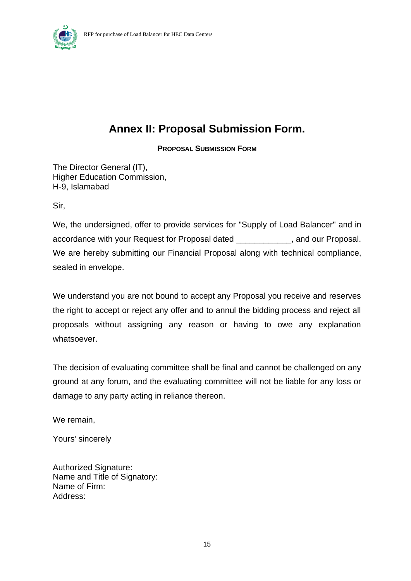

# **Annex II: Proposal Submission Form.**

**PROPOSAL SUBMISSION FORM**

The Director General (IT), Higher Education Commission, H-9, Islamabad

Sir,

We, the undersigned, offer to provide services for "Supply of Load Balancer" and in accordance with your Request for Proposal dated \_\_\_\_\_\_\_\_\_\_\_\_\_\_, and our Proposal. We are hereby submitting our Financial Proposal along with technical compliance, sealed in envelope.

We understand you are not bound to accept any Proposal you receive and reserves the right to accept or reject any offer and to annul the bidding process and reject all proposals without assigning any reason or having to owe any explanation whatsoever.

The decision of evaluating committee shall be final and cannot be challenged on any ground at any forum, and the evaluating committee will not be liable for any loss or damage to any party acting in reliance thereon.

We remain,

Yours' sincerely

Authorized Signature: Name and Title of Signatory: Name of Firm: Address: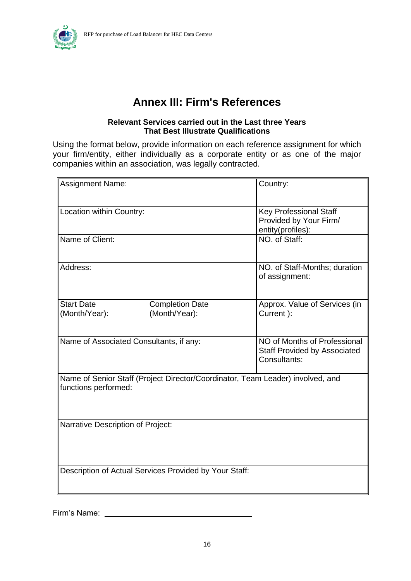

## **Annex III: Firm's References**

#### **Relevant Services carried out in the Last three Years That Best Illustrate Qualifications**

Using the format below, provide information on each reference assignment for which your firm/entity, either individually as a corporate entity or as one of the major companies within an association, was legally contracted.

| <b>Assignment Name:</b>                                                                                | Country:                                               |                                                                                     |  |  |
|--------------------------------------------------------------------------------------------------------|--------------------------------------------------------|-------------------------------------------------------------------------------------|--|--|
| Location within Country:                                                                               |                                                        | <b>Key Professional Staff</b><br>Provided by Your Firm/<br>entity(profiles):        |  |  |
| Name of Client:                                                                                        | NO. of Staff:                                          |                                                                                     |  |  |
| Address:                                                                                               |                                                        | NO. of Staff-Months; duration<br>of assignment:                                     |  |  |
| <b>Start Date</b><br>(Month/Year):                                                                     | <b>Completion Date</b><br>(Month/Year):                | Approx. Value of Services (in<br>Current ):                                         |  |  |
| Name of Associated Consultants, if any:                                                                |                                                        | NO of Months of Professional<br><b>Staff Provided by Associated</b><br>Consultants: |  |  |
| Name of Senior Staff (Project Director/Coordinator, Team Leader) involved, and<br>functions performed: |                                                        |                                                                                     |  |  |
| <b>Narrative Description of Project:</b>                                                               |                                                        |                                                                                     |  |  |
|                                                                                                        | Description of Actual Services Provided by Your Staff: |                                                                                     |  |  |

Firm's Name: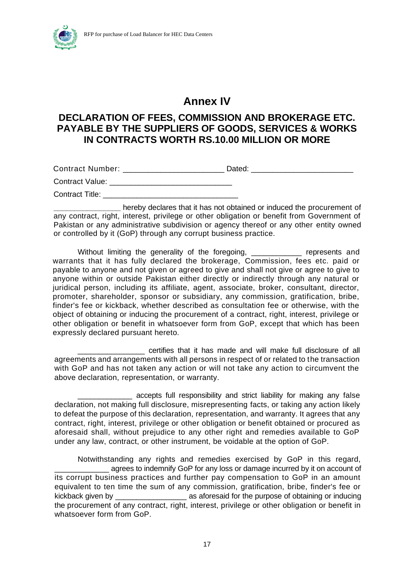

### **Annex IV**

### **DECLARATION OF FEES, COMMISSION AND BROKERAGE ETC. PAYABLE BY THE SUPPLIERS OF GOODS, SERVICES & WORKS IN CONTRACTS WORTH RS.10.00 MILLION OR MORE**

Contract Number: \_\_\_\_\_\_\_\_\_\_\_\_\_\_\_\_\_\_\_\_\_\_\_\_\_\_\_\_\_\_Dated: \_\_\_\_\_\_\_\_\_\_\_\_\_\_\_\_\_\_\_\_\_\_\_\_\_\_

Contract Value: \_\_\_\_\_\_\_\_\_\_\_\_\_\_\_\_\_\_\_\_\_\_\_\_\_\_\_\_\_

Contract Title:

**\_\_\_\_\_\_\_\_\_\_\_\_\_\_\_\_** hereby declares that it has not obtained or induced the procurement of any contract, right, interest, privilege or other obligation or benefit from Government of Pakistan or any administrative subdivision or agency thereof or any other entity owned or controlled by it (GoP) through any corrupt business practice.

Without limiting the generality of the foregoing, \_\_\_\_\_\_\_\_\_\_\_\_ represents and warrants that it has fully declared the brokerage, Commission, fees etc. paid or payable to anyone and not given or agreed to give and shall not give or agree to give to anyone within or outside Pakistan either directly or indirectly through any natural or juridical person, including its affiliate, agent, associate, broker, consultant, director, promoter, shareholder, sponsor or subsidiary, any commission, gratification, bribe, finder's fee or kickback, whether described as consultation fee or otherwise, with the object of obtaining or inducing the procurement of a contract, right, interest, privilege or other obligation or benefit in whatsoever form from GoP, except that which has been expressly declared pursuant hereto.

\_\_\_\_\_\_\_\_\_\_\_\_\_\_\_\_ certifies that it has made and will make full disclosure of all agreements and arrangements with all persons in respect of or related to the transaction with GoP and has not taken any action or will not take any action to circumvent the above declaration, representation, or warranty.

\_\_\_\_\_\_\_\_\_\_\_\_\_ accepts full responsibility and strict liability for making any false declaration, not making full disclosure, misrepresenting facts, or taking any action likely to defeat the purpose of this declaration, representation, and warranty. It agrees that any contract, right, interest, privilege or other obligation or benefit obtained or procured as aforesaid shall, without prejudice to any other right and remedies available to GoP under any law, contract, or other instrument, be voidable at the option of GoP.

Notwithstanding any rights and remedies exercised by GoP in this regard, agrees to indemnify GoP for any loss or damage incurred by it on account of its corrupt business practices and further pay compensation to GoP in an amount equivalent to ten time the sum of any commission, gratification, bribe, finder's fee or kickback given by \_\_\_\_\_\_\_\_\_\_\_\_\_\_\_\_\_ as aforesaid for the purpose of obtaining or inducing the procurement of any contract, right, interest, privilege or other obligation or benefit in whatsoever form from GoP.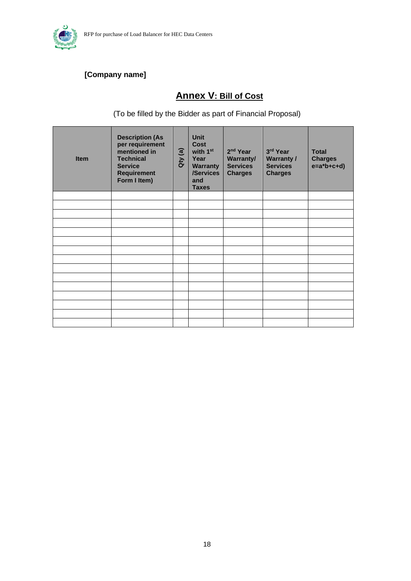

### <span id="page-18-0"></span> **[Company name]**

## **Annex V: Bill of Cost**

(To be filled by the Bidder as part of Financial Proposal)

| <b>Item</b> | <b>Description (As</b><br>per requirement<br>mentioned in<br><b>Technical</b><br><b>Service</b><br><b>Requirement</b><br>Form I Item) | Qty (a) | <b>Unit</b><br><b>Cost</b><br>with 1 <sup>st</sup><br>Year<br><b>Warranty</b><br>/Services<br>and<br><b>Taxes</b> | 2 <sup>nd</sup> Year<br>Warranty/<br><b>Services</b><br><b>Charges</b> | 3rd Year<br><b>Warranty /</b><br><b>Services</b><br><b>Charges</b> | <b>Total</b><br><b>Charges</b><br>$e=a*b+c+d)$ |
|-------------|---------------------------------------------------------------------------------------------------------------------------------------|---------|-------------------------------------------------------------------------------------------------------------------|------------------------------------------------------------------------|--------------------------------------------------------------------|------------------------------------------------|
|             |                                                                                                                                       |         |                                                                                                                   |                                                                        |                                                                    |                                                |
|             |                                                                                                                                       |         |                                                                                                                   |                                                                        |                                                                    |                                                |
|             |                                                                                                                                       |         |                                                                                                                   |                                                                        |                                                                    |                                                |
|             |                                                                                                                                       |         |                                                                                                                   |                                                                        |                                                                    |                                                |
|             |                                                                                                                                       |         |                                                                                                                   |                                                                        |                                                                    |                                                |
|             |                                                                                                                                       |         |                                                                                                                   |                                                                        |                                                                    |                                                |
|             |                                                                                                                                       |         |                                                                                                                   |                                                                        |                                                                    |                                                |
|             |                                                                                                                                       |         |                                                                                                                   |                                                                        |                                                                    |                                                |
|             |                                                                                                                                       |         |                                                                                                                   |                                                                        |                                                                    |                                                |
|             |                                                                                                                                       |         |                                                                                                                   |                                                                        |                                                                    |                                                |
|             |                                                                                                                                       |         |                                                                                                                   |                                                                        |                                                                    |                                                |
|             |                                                                                                                                       |         |                                                                                                                   |                                                                        |                                                                    |                                                |
|             |                                                                                                                                       |         |                                                                                                                   |                                                                        |                                                                    |                                                |
|             |                                                                                                                                       |         |                                                                                                                   |                                                                        |                                                                    |                                                |
|             |                                                                                                                                       |         |                                                                                                                   |                                                                        |                                                                    |                                                |